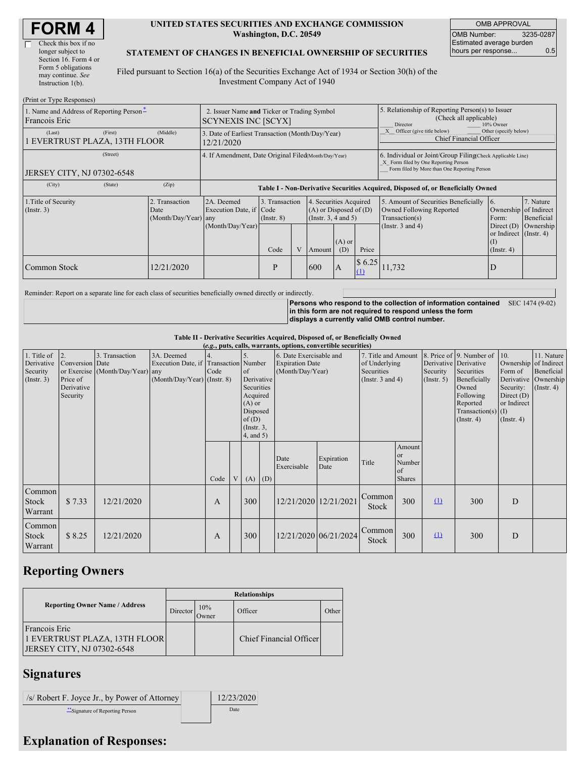| <b>FORM 4</b> |
|---------------|
|---------------|

| Check this box if no  |
|-----------------------|
| longer subject to     |
| Section 16. Form 4 or |
| Form 5 obligations    |
| may continue. See     |
| Instruction 1(b).     |
|                       |

#### **UNITED STATES SECURITIES AND EXCHANGE COMMISSION Washington, D.C. 20549**

OMB APPROVAL OMB Number: 3235-0287 Estimated average burden hours per response... 0.5

#### **STATEMENT OF CHANGES IN BENEFICIAL OWNERSHIP OF SECURITIES**

Filed pursuant to Section 16(a) of the Securities Exchange Act of 1934 or Section 30(h) of the Investment Company Act of 1940

| (Print or Type Responses)                                 |                                                                           |                                                                                  |                                         |  |                                                                                                                        |                                                                                                     |                                                                                                                                                    |                                                                                                             |                                                                                                                         |                                      |  |
|-----------------------------------------------------------|---------------------------------------------------------------------------|----------------------------------------------------------------------------------|-----------------------------------------|--|------------------------------------------------------------------------------------------------------------------------|-----------------------------------------------------------------------------------------------------|----------------------------------------------------------------------------------------------------------------------------------------------------|-------------------------------------------------------------------------------------------------------------|-------------------------------------------------------------------------------------------------------------------------|--------------------------------------|--|
| 1. Name and Address of Reporting Person-<br>Francois Eric | 2. Issuer Name and Ticker or Trading Symbol<br><b>SCYNEXIS INC [SCYX]</b> |                                                                                  |                                         |  |                                                                                                                        | 5. Relationship of Reporting Person(s) to Issuer<br>(Check all applicable)<br>Director<br>10% Owner |                                                                                                                                                    |                                                                                                             |                                                                                                                         |                                      |  |
| (First)<br>(Last)<br>EVERTRUST PLAZA, 13TH FLOOR          | (Middle)                                                                  | 3. Date of Earliest Transaction (Month/Day/Year)<br>12/21/2020                   |                                         |  |                                                                                                                        |                                                                                                     |                                                                                                                                                    | Other (specify below)<br>Officer (give title below)<br><b>Chief Financial Officer</b>                       |                                                                                                                         |                                      |  |
| (Street)<br>JERSEY CITY, NJ 07302-6548                    |                                                                           | 4. If Amendment, Date Original Filed (Month/Day/Year)                            |                                         |  |                                                                                                                        |                                                                                                     | 6. Individual or Joint/Group Filing Check Applicable Line)<br>X Form filed by One Reporting Person<br>Form filed by More than One Reporting Person |                                                                                                             |                                                                                                                         |                                      |  |
| (City)<br>(State)                                         | (Zip)                                                                     | Table I - Non-Derivative Securities Acquired, Disposed of, or Beneficially Owned |                                         |  |                                                                                                                        |                                                                                                     |                                                                                                                                                    |                                                                                                             |                                                                                                                         |                                      |  |
| 1. Title of Security<br>$($ Instr. 3 $)$                  | 2. Transaction<br>Date<br>(Month/Day/Year) any                            | 2A. Deemed<br>Execution Date, if Code<br>(Month/Day/Year)                        | 3. Transaction<br>$($ Instr. 8)<br>Code |  | 4. Securities Acquired<br>$(A)$ or Disposed of $(D)$<br>(Instr. $3, 4$ and $5$ )<br>$(A)$ or<br>Price<br>(D)<br>Amount |                                                                                                     |                                                                                                                                                    | 5. Amount of Securities Beneficially<br>Owned Following Reported<br>Transaction(s)<br>(Instr. $3$ and $4$ ) | $\overline{6}$ .<br>Ownership of Indirect<br>Form:<br>Direct $(D)$<br>or Indirect (Instr. 4)<br>(I)<br>$($ Instr. 4 $)$ | 7. Nature<br>Beneficial<br>Ownership |  |
| Common Stock                                              | 2/21/2020                                                                 |                                                                                  | P                                       |  | 600                                                                                                                    | $\overline{A}$                                                                                      | \$6.25                                                                                                                                             | 11,732                                                                                                      | D                                                                                                                       |                                      |  |

Reminder: Report on a separate line for each class of securities beneficially owned directly or indirectly.

**Persons who respond to the collection of information contained in this form are not required to respond unless the form displays a currently valid OMB control number.** SEC 1474 (9-02)

**Table II - Derivative Securities Acquired, Disposed of, or Beneficially Owned**

| (e.g., puts, calls, warrants, options, convertible securities) |                 |                                  |                               |                                       |    |                 |  |                         |                       |                       |               |                       |                              |                       |                      |
|----------------------------------------------------------------|-----------------|----------------------------------|-------------------------------|---------------------------------------|----|-----------------|--|-------------------------|-----------------------|-----------------------|---------------|-----------------------|------------------------------|-----------------------|----------------------|
| 1. Title of                                                    | 2.              | 3. Transaction                   | 3A. Deemed                    |                                       | 5. |                 |  | 6. Date Exercisable and |                       | 7. Title and Amount   |               |                       | 8. Price of 9. Number of 10. |                       | 11. Nature           |
| Derivative                                                     | Conversion Date |                                  |                               | Execution Date, if Transaction Number |    |                 |  | <b>Expiration Date</b>  |                       | of Underlying         |               | Derivative Derivative |                              | Ownership of Indirect |                      |
| Security                                                       |                 | or Exercise (Month/Day/Year) any |                               | Code                                  |    | of              |  | (Month/Day/Year)        |                       | Securities            |               | Security              | Securities                   | Form of               | Beneficial           |
| (Insert. 3)                                                    | Price of        |                                  | $(Month/Day/Year)$ (Instr. 8) |                                       |    | Derivative      |  |                         |                       | (Instr. $3$ and $4$ ) |               | $($ Instr. 5 $)$      | Beneficially                 |                       | Derivative Ownership |
|                                                                | Derivative      |                                  |                               |                                       |    | Securities      |  |                         |                       |                       |               |                       | Owned                        | Security:             | $($ Instr. 4 $)$     |
|                                                                | Security        |                                  |                               |                                       |    | Acquired        |  |                         |                       |                       |               |                       | Following                    | Direct $(D)$          |                      |
|                                                                |                 |                                  |                               |                                       |    | $(A)$ or        |  |                         |                       |                       |               |                       | Reported                     | or Indirect           |                      |
|                                                                |                 |                                  |                               |                                       |    | Disposed        |  |                         |                       |                       |               | Transaction(s) $(I)$  |                              |                       |                      |
|                                                                |                 |                                  |                               |                                       |    | of(D)           |  |                         |                       |                       |               |                       | $($ Instr. 4 $)$             | $($ Instr. 4 $)$      |                      |
|                                                                |                 |                                  |                               |                                       |    | $($ Instr. $3,$ |  |                         |                       |                       |               |                       |                              |                       |                      |
|                                                                |                 |                                  |                               |                                       |    | $4$ , and $5$ ) |  |                         |                       |                       |               |                       |                              |                       |                      |
|                                                                |                 |                                  |                               |                                       |    |                 |  |                         |                       |                       | Amount        |                       |                              |                       |                      |
|                                                                |                 |                                  |                               |                                       |    |                 |  | Date                    | Expiration            |                       | <sub>or</sub> |                       |                              |                       |                      |
|                                                                |                 |                                  |                               |                                       |    |                 |  | Exercisable             | Date                  | Title                 | Number        |                       |                              |                       |                      |
|                                                                |                 |                                  |                               |                                       |    |                 |  |                         |                       |                       | of            |                       |                              |                       |                      |
|                                                                |                 |                                  |                               | Code                                  |    | $V(A)$ (D)      |  |                         |                       |                       | <b>Shares</b> |                       |                              |                       |                      |
| Common                                                         |                 |                                  |                               |                                       |    |                 |  |                         |                       |                       |               |                       |                              |                       |                      |
| Stock                                                          | \$7.33          | 12/21/2020                       |                               | A                                     |    | 300             |  |                         | 12/21/2020 12/21/2021 | Common                | 300           | $\Omega$              | 300                          | D                     |                      |
|                                                                |                 |                                  |                               |                                       |    |                 |  |                         |                       | Stock                 |               |                       |                              |                       |                      |
| Warrant                                                        |                 |                                  |                               |                                       |    |                 |  |                         |                       |                       |               |                       |                              |                       |                      |
| Common                                                         |                 |                                  |                               |                                       |    |                 |  |                         |                       |                       |               |                       |                              |                       |                      |
| <b>Stock</b>                                                   | \$8.25          | 12/21/2020                       |                               | A                                     |    | 300             |  |                         | 12/21/2020 06/21/2024 | Common                | 300           | $\Omega$              | 300                          | D                     |                      |
|                                                                |                 |                                  |                               |                                       |    |                 |  |                         |                       | Stock                 |               |                       |                              |                       |                      |
| Warrant                                                        |                 |                                  |                               |                                       |    |                 |  |                         |                       |                       |               |                       |                              |                       |                      |

# **Reporting Owners**

|                                                                              | <b>Relationships</b> |              |                         |       |  |  |  |  |
|------------------------------------------------------------------------------|----------------------|--------------|-------------------------|-------|--|--|--|--|
| <b>Reporting Owner Name / Address</b>                                        | Director             | 10%<br>Owner | Officer                 | Other |  |  |  |  |
| Francois Eric<br>1 EVERTRUST PLAZA, 13TH FLOOR<br>JERSEY CITY, NJ 07302-6548 |                      |              | Chief Financial Officer |       |  |  |  |  |

# **Signatures**

| /s/ Robert F. Joyce Jr., by Power of Attorney | 12/23/2020 |
|-----------------------------------------------|------------|
| Signature of Reporting Person                 | Date       |

### **Explanation of Responses:**